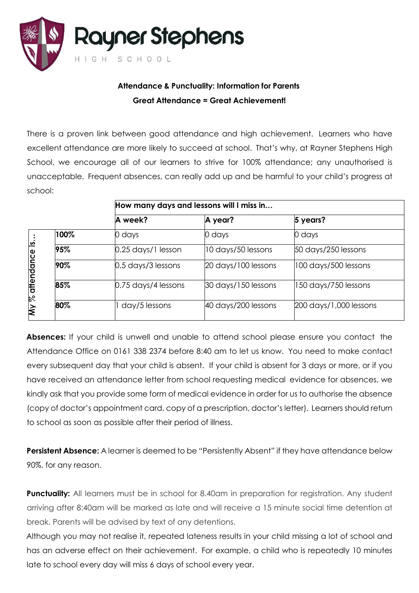

## **Attendance & Punctuality: Information for Parents Great Attendance = Great Achievement!**

There is a proven link between good attendance and high achievement. Learners who have excellent attendance are more likely to succeed at school. That's why, at Rayner Stephens High School, we encourage all of our learners to strive for 100% attendance; any unauthorised is unacceptable. Frequent absences, can really add up and be harmful to your child's progress at school:

|                                                      |      | How many days and lessons will I miss in |                     |                                          |  |
|------------------------------------------------------|------|------------------------------------------|---------------------|------------------------------------------|--|
|                                                      |      | A week?                                  | A year?             | 5 years?                                 |  |
| $\overline{\mathbf{a}}$<br>attendance<br><b>My %</b> | 100% | 0 days                                   | 0 days              | 0 days                                   |  |
|                                                      | 95%  | $0.25$ days/1 lesson                     | 10 days/50 lessons  | 50 days/250 lessons                      |  |
|                                                      | 90%  | 0.5 days/3 lessons                       | 20 days/100 lessons | $ 100 \text{ days}/500 \text{ lessons} $ |  |
|                                                      | 85%  | 0.75 days/4 lessons                      | 30 days/150 lessons | 150 days/750 lessons                     |  |
|                                                      | 80%  | day/5 lessons                            | 40 days/200 lessons | 200 days/1,000 lessons                   |  |

**Absences:** If your child is unwell and unable to attend school please ensure you contact the Attendance Office on 0161 338 2374 before 8:40 am to let us know. You need to make contact every subsequent day that your child is absent. If your child is absent for 3 days or more, or if you have received an attendance letter from school requesting medical evidence for absences, we kindly ask that you provide some form of medical evidence in order for us to authorise the absence (copy of doctor's appointment card, copy of a prescription, doctor's letter). Learners should return to school as soon as possible after their period of illness.

**Persistent Absence:** A learner is deemed to be "Persistently Absent" if they have attendance below 90%, for any reason.

**Punctuality:** All learners must be in school for 8.40am in preparation for registration. Any student arriving after 8:40am will be marked as late and will receive a 15 minute social time detention at break. Parents will be advised by text of any detentions.

Although you may not realise it, repeated lateness results in your child missing a lot of school and has an adverse effect on their achievement. For example, a child who is repeatedly 10 minutes late to school every day will miss 6 days of school every year.